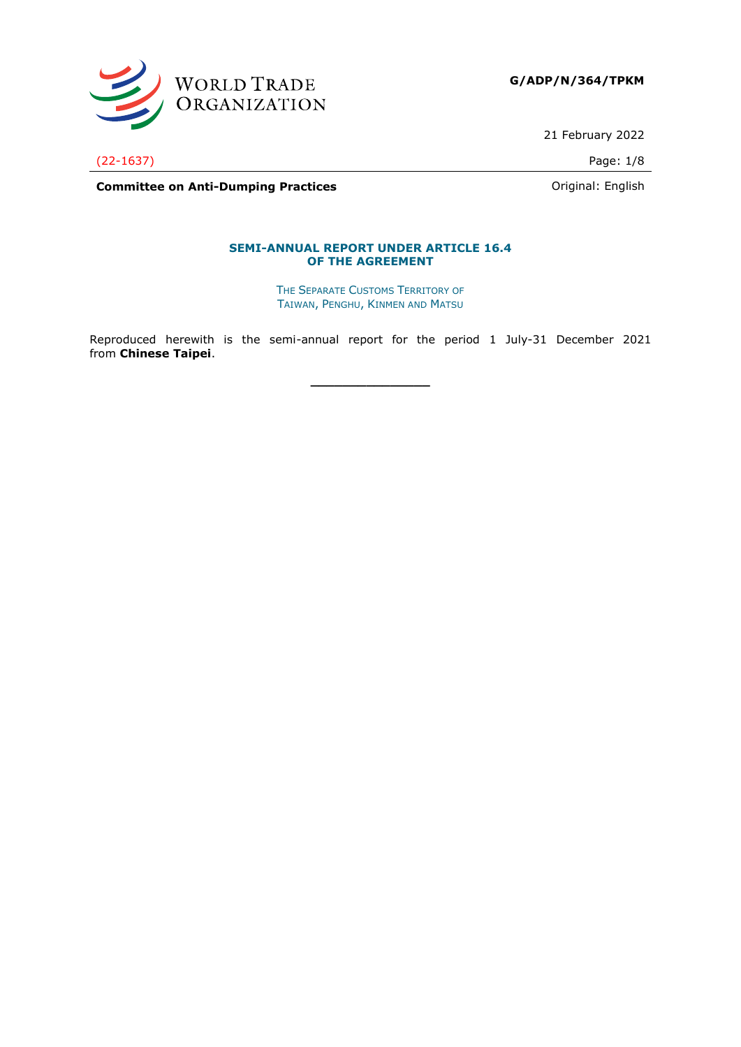

**G/ADP/N/364/TPKM**

21 February 2022

(22-1637) Page: 1/8

**Committee on Anti-Dumping Practices Committee on Anti-Dumping Practices Committee on Anti-Dumping Practices** 

### **SEMI-ANNUAL REPORT UNDER ARTICLE 16.4 OF THE AGREEMENT**

THE SEPARATE CUSTOMS TERRITORY OF TAIWAN, PENGHU, KINMEN AND MATSU

Reproduced herewith is the semi-annual report for the period 1 July-31 December 2021 from **Chinese Taipei**.

**\_\_\_\_\_\_\_\_\_\_\_\_\_\_\_**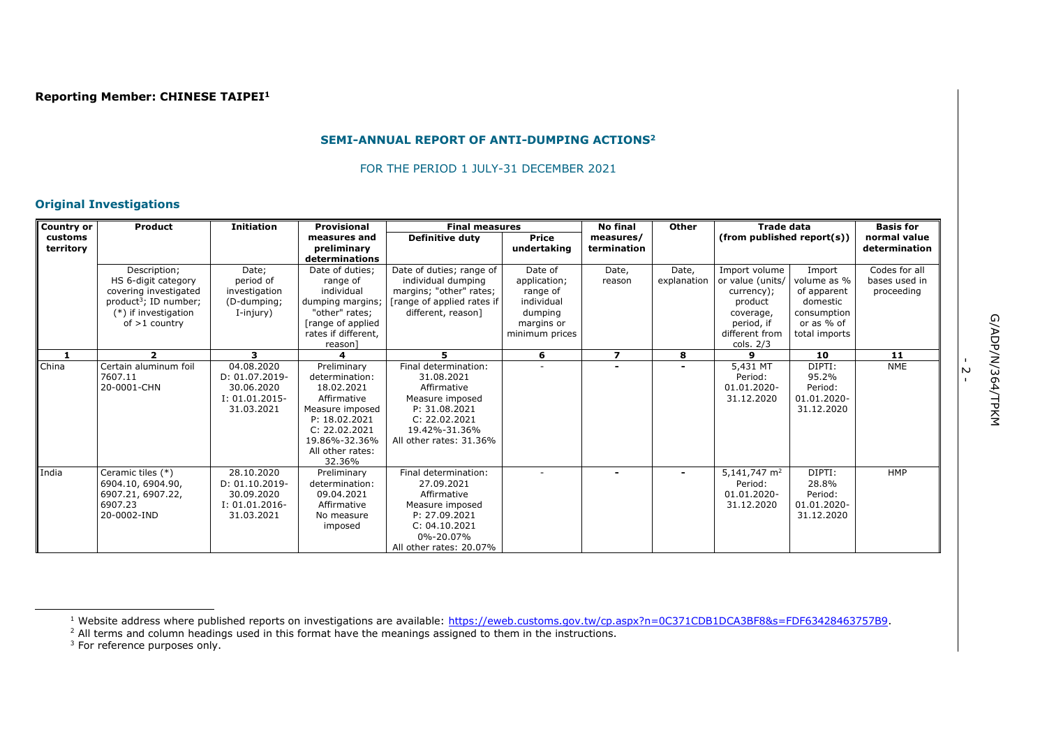#### **SEMI-ANNUAL REPORT OF ANTI-DUMPING ACTIONS<sup>2</sup>**

FOR THE PERIOD 1 JULY-31 DECEMBER 2021

## **Original Investigations**

| <b>Country or</b>    | Product                                                                                                                                      | <b>Initiation</b>                                                                | <b>Provisional</b>                                                                                                                                             | <b>Final measures</b>                                                                                                                              |                                                                                              | <b>No final</b>          | Other                | <b>Trade data</b>                                                                                                      |                                                                                                | <b>Basis for</b>                             |
|----------------------|----------------------------------------------------------------------------------------------------------------------------------------------|----------------------------------------------------------------------------------|----------------------------------------------------------------------------------------------------------------------------------------------------------------|----------------------------------------------------------------------------------------------------------------------------------------------------|----------------------------------------------------------------------------------------------|--------------------------|----------------------|------------------------------------------------------------------------------------------------------------------------|------------------------------------------------------------------------------------------------|----------------------------------------------|
| customs<br>territory |                                                                                                                                              |                                                                                  | measures and<br>preliminary<br>determinations                                                                                                                  | <b>Definitive duty</b>                                                                                                                             | Price<br>undertaking                                                                         | measures/<br>termination |                      | (from published report(s))                                                                                             |                                                                                                | normal value<br>determination                |
|                      | Description;<br>HS 6-digit category<br>covering investigated<br>product <sup>3</sup> ; ID number;<br>(*) if investigation<br>of $>1$ country | Date:<br>period of<br>investigation<br>(D-dumping;<br>I-injury)                  | Date of duties;<br>range of<br>individual<br>dumping margins;<br>"other" rates;<br>[range of applied<br>rates if different.<br>reason]                         | Date of duties; range of<br>individual dumping<br>margins; "other" rates;<br>[range of applied rates if  <br>different, reason]                    | Date of<br>application;<br>range of<br>individual<br>dumping<br>margins or<br>minimum prices | Date,<br>reason          | Date,<br>explanation | Import volume<br>or value (units/<br>currency);<br>product<br>coverage,<br>period, if<br>different from<br>cols. $2/3$ | Import<br>volume as %<br>of apparent<br>domestic<br>consumption<br>or as % of<br>total imports | Codes for all<br>bases used in<br>proceeding |
|                      | $\mathbf{z}$                                                                                                                                 | 3.                                                                               | 4                                                                                                                                                              | 5.                                                                                                                                                 | 6                                                                                            | $\overline{ }$           | 8                    | $\mathbf{Q}$                                                                                                           | 10                                                                                             | 11                                           |
| China                | Certain aluminum foil<br>7607.11<br>20-0001-CHN                                                                                              | 04.08.2020<br>D: 01.07.2019-<br>30.06.2020<br>$I: 01.01.2015 -$<br>31.03.2021    | Preliminary<br>determination:<br>18.02.2021<br>Affirmative<br>Measure imposed<br>P: 18.02.2021<br>C: 22.02.2021<br>19.86%-32.36%<br>All other rates:<br>32.36% | Final determination:<br>31.08.2021<br>Affirmative<br>Measure imposed<br>P: 31.08.2021<br>C: 22.02.2021<br>19.42%-31.36%<br>All other rates: 31.36% |                                                                                              |                          |                      | 5,431 MT<br>Period:<br>01.01.2020-<br>31.12.2020                                                                       | DIPTI:<br>95.2%<br>Period:<br>01.01.2020-<br>31.12.2020                                        | <b>NME</b>                                   |
| India                | Ceramic tiles (*)<br>6904.10, 6904.90,<br>6907.21, 6907.22,<br>6907.23<br>20-0002-IND                                                        | 28.10.2020<br>$D: 01.10.2019 -$<br>30.09.2020<br>$I: 01.01.2016 -$<br>31.03.2021 | Preliminary<br>determination:<br>09.04.2021<br>Affirmative<br>No measure<br>imposed                                                                            | Final determination:<br>27.09.2021<br>Affirmative<br>Measure imposed<br>P: 27.09.2021<br>C: 04.10.2021<br>0%-20.07%<br>All other rates: 20.07%     |                                                                                              |                          |                      | 5,141,747 $m2$<br>Period:<br>01.01.2020-<br>31.12.2020                                                                 | DIPTI:<br>28.8%<br>Period:<br>01.01.2020-<br>31.12.2020                                        | <b>HMP</b>                                   |

<sup>1</sup> Website address where published reports on investigations are available: [https://eweb.customs.gov.tw/cp.aspx?n=0C371CDB1DCA3BF8&s=FDF63428463757B9.](https://eweb.customs.gov.tw/cp.aspx?n=0C371CDB1DCA3BF8&s=FDF63428463757B9)

 $<sup>2</sup>$  All terms and column headings used in this format have the meanings assigned to them in the instructions.</sup>

 $3$  For reference purposes only.

-<br>- 2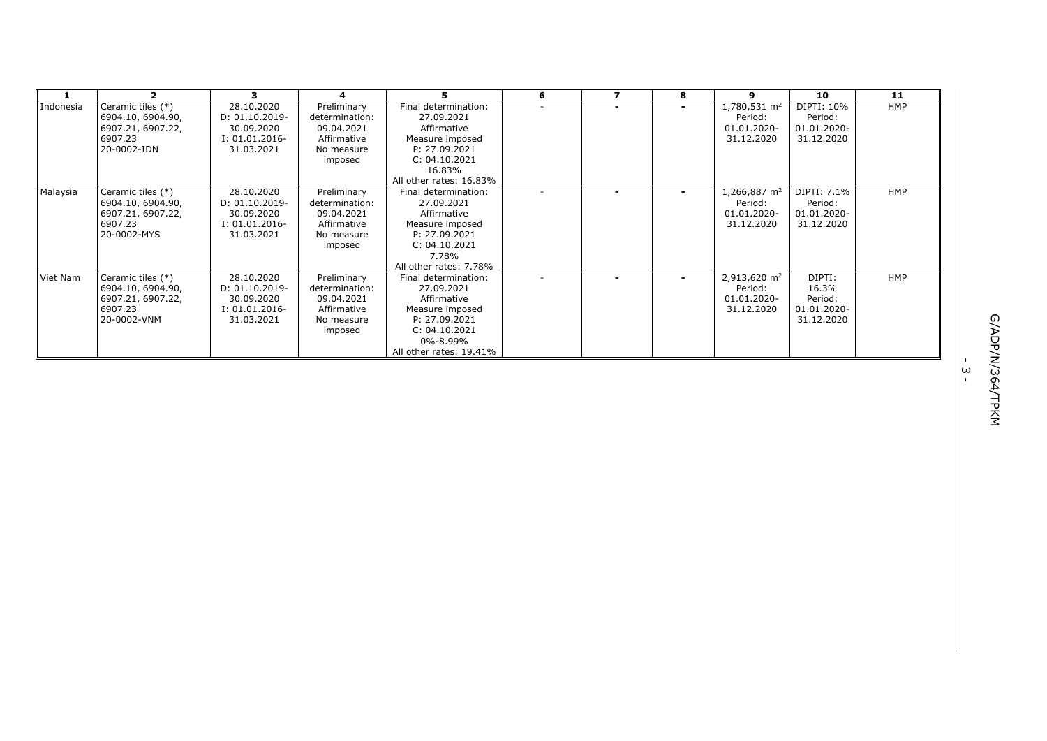|           | $\overline{\mathbf{2}}$                                                               | 3                                                                               | 4                                                                                   | 5.                                                                                                                                            | 6 | $\overline{ }$ | 8                        | 9                                                                | 10                                                      | 11         |   |
|-----------|---------------------------------------------------------------------------------------|---------------------------------------------------------------------------------|-------------------------------------------------------------------------------------|-----------------------------------------------------------------------------------------------------------------------------------------------|---|----------------|--------------------------|------------------------------------------------------------------|---------------------------------------------------------|------------|---|
| Indonesia | Ceramic tiles (*)<br>6904.10, 6904.90,<br>6907.21, 6907.22,<br>6907.23<br>20-0002-IDN | 28.10.2020<br>D: 01.10.2019-<br>30.09.2020<br>$I: 01.01.2016 -$<br>31.03.2021   | Preliminary<br>determination:<br>09.04.2021<br>Affirmative<br>No measure<br>imposed | Final determination:<br>27.09.2021<br>Affirmative<br>Measure imposed<br>P: 27.09.2021<br>C: 04.10.2021<br>16.83%<br>All other rates: 16.83%   |   |                |                          | 1,780,531 m <sup>2</sup><br>Period:<br>01.01.2020-<br>31.12.2020 | DIPTI: 10%<br>Period:<br>01.01.2020-<br>31.12.2020      | <b>HMP</b> |   |
| Malaysia  | Ceramic tiles (*)<br>6904.10, 6904.90,<br>6907.21, 6907.22,<br>6907.23<br>20-0002-MYS | 28.10.2020<br>D: 01.10.2019-<br>30.09.2020<br>$I: 01.01.2016 -$<br>31.03.2021   | Preliminary<br>determination:<br>09.04.2021<br>Affirmative<br>No measure<br>imposed | Final determination:<br>27.09.2021<br>Affirmative<br>Measure imposed<br>P: 27.09.2021<br>C: 04.10.2021<br>7.78%<br>All other rates: 7.78%     |   |                |                          | 1,266,887 $m2$<br>Period:<br>01.01.2020-<br>31.12.2020           | DIPTI: 7.1%<br>Period:<br>01.01.2020-<br>31.12.2020     | <b>HMP</b> |   |
| Viet Nam  | Ceramic tiles (*)<br>6904.10, 6904.90,<br>6907.21, 6907.22,<br>6907.23<br>20-0002-VNM | 28.10.2020<br>$D: 01.10.2019 -$<br>30.09.2020<br>$I: 01.01.2016-$<br>31.03.2021 | Preliminary<br>determination:<br>09.04.2021<br>Affirmative<br>No measure<br>imposed | Final determination:<br>27.09.2021<br>Affirmative<br>Measure imposed<br>P: 27.09.2021<br>C: 04.10.2021<br>0%-8.99%<br>All other rates: 19.41% |   |                | $\overline{\phantom{0}}$ | 2,913,620 m <sup>2</sup><br>Period:<br>01.01.2020-<br>31.12.2020 | DIPTI:<br>16.3%<br>Period:<br>01.01.2020-<br>31.12.2020 | <b>HMP</b> |   |
|           |                                                                                       |                                                                                 |                                                                                     |                                                                                                                                               |   |                |                          |                                                                  |                                                         |            | ω |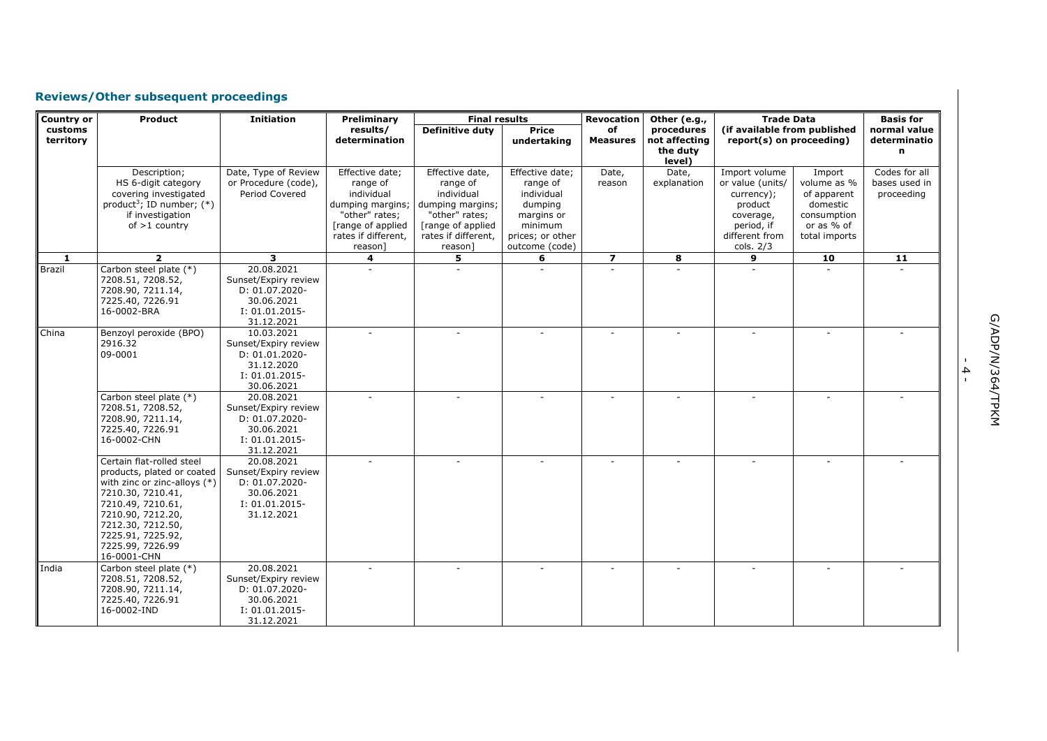# **Reviews/Other subsequent proceedings**

| Country or           | Product                                                                                                                                                                                                                               | <b>Initiation</b>                                                                                    | Preliminary                                                                                                                            | <b>Final results</b>                                                                                                                   |                                                                                                                     | <b>Revocation</b>       | Other (e.g.,                                      | <b>Trade Data</b>                                                                                                    |                                                                                                | <b>Basis for</b>                             |
|----------------------|---------------------------------------------------------------------------------------------------------------------------------------------------------------------------------------------------------------------------------------|------------------------------------------------------------------------------------------------------|----------------------------------------------------------------------------------------------------------------------------------------|----------------------------------------------------------------------------------------------------------------------------------------|---------------------------------------------------------------------------------------------------------------------|-------------------------|---------------------------------------------------|----------------------------------------------------------------------------------------------------------------------|------------------------------------------------------------------------------------------------|----------------------------------------------|
| customs<br>territory |                                                                                                                                                                                                                                       |                                                                                                      | results/<br>determination                                                                                                              | Definitive duty                                                                                                                        | <b>Price</b><br>undertaking                                                                                         | of<br><b>Measures</b>   | procedures<br>not affecting<br>the duty<br>level) | (if available from published<br>report(s) on proceeding)                                                             |                                                                                                | normal value<br>determinatio<br>n            |
|                      | Description;<br>HS 6-digit category<br>covering investigated<br>product <sup>3</sup> ; ID number; $(*)$<br>if investigation<br>of $>1$ country                                                                                        | Date, Type of Review<br>or Procedure (code),<br>Period Covered                                       | Effective date;<br>range of<br>individual<br>dumping margins;<br>"other" rates;<br>[range of applied<br>rates if different,<br>reason] | Effective date,<br>range of<br>individual<br>dumping margins;<br>"other" rates;<br>[range of applied<br>rates if different,<br>reason] | Effective date;<br>range of<br>individual<br>dumping<br>margins or<br>minimum<br>prices; or other<br>outcome (code) | Date,<br>reason         | Date,<br>explanation                              | Import volume<br>or value (units/<br>currency);<br>product<br>coverage,<br>period, if<br>different from<br>cols. 2/3 | Import<br>volume as %<br>of apparent<br>domestic<br>consumption<br>or as % of<br>total imports | Codes for all<br>bases used in<br>proceeding |
| $\mathbf{1}$         | $\overline{2}$                                                                                                                                                                                                                        | $\overline{\mathbf{3}}$                                                                              | $\overline{4}$                                                                                                                         | 5                                                                                                                                      | 6                                                                                                                   | $\overline{\mathbf{z}}$ | 8                                                 | 9                                                                                                                    | 10                                                                                             | 11                                           |
| Brazil               | Carbon steel plate (*)<br>7208.51, 7208.52,<br>7208.90, 7211.14,<br>7225.40, 7226.91<br>16-0002-BRA                                                                                                                                   | 20.08.2021<br>Sunset/Expiry review<br>D: 01.07.2020-<br>30.06.2021<br>$I: 01.01.2015-$<br>31.12.2021 |                                                                                                                                        |                                                                                                                                        |                                                                                                                     |                         |                                                   |                                                                                                                      |                                                                                                |                                              |
| China                | Benzoyl peroxide (BPO)<br>2916.32<br>09-0001                                                                                                                                                                                          | 10.03.2021<br>Sunset/Expiry review<br>D: 01.01.2020-<br>31.12.2020<br>$I: 01.01.2015-$<br>30.06.2021 | ÷.                                                                                                                                     | ÷.                                                                                                                                     |                                                                                                                     |                         |                                                   |                                                                                                                      |                                                                                                |                                              |
|                      | Carbon steel plate (*)<br>7208.51, 7208.52,<br>7208.90, 7211.14,<br>7225.40, 7226.91<br>16-0002-CHN                                                                                                                                   | 20.08.2021<br>Sunset/Expiry review<br>D: 01.07.2020-<br>30.06.2021<br>$I: 01.01.2015-$<br>31.12.2021 | ÷.                                                                                                                                     | ×.                                                                                                                                     | $\sim$                                                                                                              | $\sim$                  | ٠                                                 |                                                                                                                      |                                                                                                |                                              |
|                      | Certain flat-rolled steel<br>products, plated or coated<br>with zinc or zinc-alloys $(*)$<br>7210.30, 7210.41,<br>7210.49, 7210.61,<br>7210.90, 7212.20,<br>7212.30, 7212.50,<br>7225.91, 7225.92,<br>7225.99, 7226.99<br>16-0001-CHN | 20.08.2021<br>Sunset/Expiry review<br>D: 01.07.2020-<br>30.06.2021<br>$I: 01.01.2015-$<br>31.12.2021 |                                                                                                                                        |                                                                                                                                        |                                                                                                                     |                         |                                                   |                                                                                                                      |                                                                                                |                                              |
| India                | Carbon steel plate (*)<br>7208.51, 7208.52,<br>7208.90, 7211.14,<br>7225.40, 7226.91<br>16-0002-IND                                                                                                                                   | 20.08.2021<br>Sunset/Expiry review<br>D: 01.07.2020-<br>30.06.2021<br>$I: 01.01.2015-$<br>31.12.2021 |                                                                                                                                        |                                                                                                                                        |                                                                                                                     |                         |                                                   |                                                                                                                      |                                                                                                |                                              |

- 4 -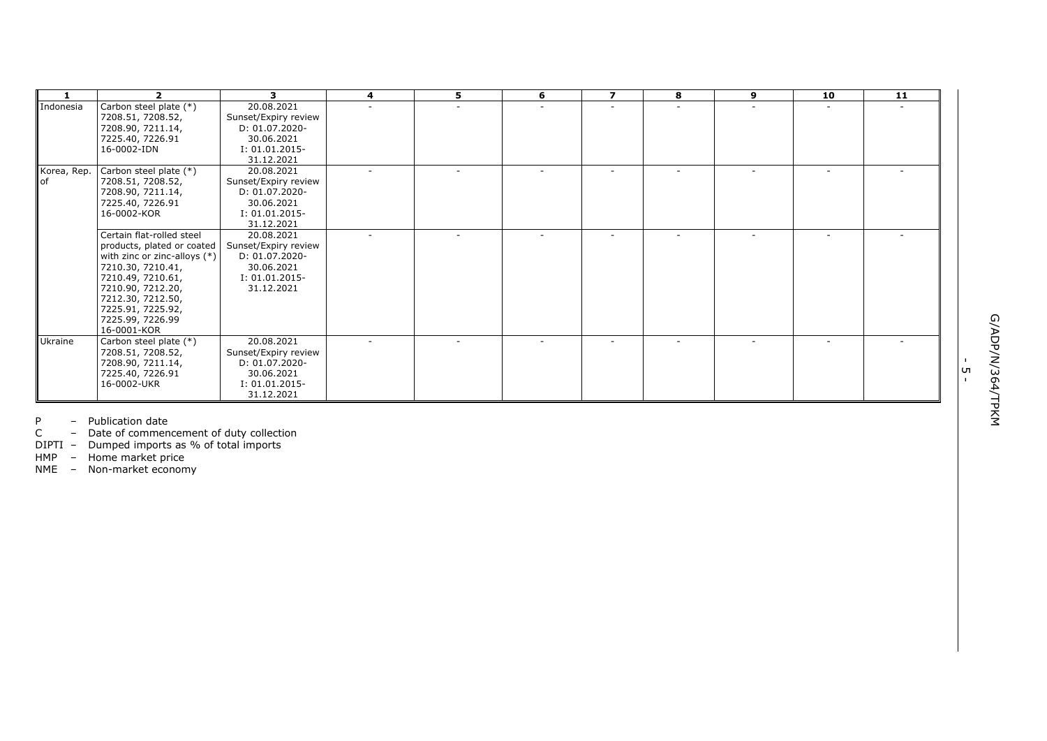| $\overline{2}$                                                                                                                                                                                          | 3                                                                                                     | $\overline{4}$                           | 5.     | 6 | $\overline{\mathbf{z}}$ | 8 | 9                        | 10                       | 11 |    |
|---------------------------------------------------------------------------------------------------------------------------------------------------------------------------------------------------------|-------------------------------------------------------------------------------------------------------|------------------------------------------|--------|---|-------------------------|---|--------------------------|--------------------------|----|----|
| Carbon steel plate (*)<br>7208.51, 7208.52,<br>7208.90, 7211.14,<br>7225.40, 7226.91<br>16-0002-IDN                                                                                                     | 20.08.2021<br>Sunset/Expiry review<br>D: 01.07.2020-<br>30.06.2021<br>$I: 01.01.2015 -$<br>31.12.2021 |                                          |        |   |                         |   |                          |                          |    |    |
| Carbon steel plate (*)<br>7208.51, 7208.52,<br>7208.90, 7211.14,<br>7225.40, 7226.91<br>16-0002-KOR                                                                                                     | 20.08.2021<br>Sunset/Expiry review<br>D: 01.07.2020-<br>30.06.2021<br>$I: 01.01.2015 -$<br>31.12.2021 |                                          |        |   |                         |   |                          |                          |    |    |
| Certain flat-rolled steel<br>with zinc or zinc-alloys $(*)$<br>7210.30, 7210.41,<br>7210.49, 7210.61,<br>7210.90, 7212.20,<br>7212.30, 7212.50,<br>7225.91, 7225.92,<br>7225.99, 7226.99<br>16-0001-KOR | 20.08.2021<br>Sunset/Expiry review<br>D: 01.07.2020-<br>30.06.2021<br>$I: 01.01.2015-$<br>31.12.2021  |                                          |        |   |                         |   | $\overline{\phantom{a}}$ | $\overline{\phantom{a}}$ |    |    |
| Carbon steel plate (*)<br>7208.51, 7208.52,<br>7208.90, 7211.14,<br>7225.40, 7226.91<br>16-0002-UKR                                                                                                     | 20.08.2021<br>Sunset/Expiry review<br>D: 01.07.2020-<br>30.06.2021<br>I: 01.01.2015-                  |                                          | $\sim$ |   |                         |   |                          | $\overline{\phantom{a}}$ |    | UП |
|                                                                                                                                                                                                         |                                                                                                       | products, plated or coated<br>31.12.2021 |        |   |                         |   |                          |                          |    |    |

P – Publication date

C – Date of commencement of duty collection

DIPTI – Dumped imports as % of total imports

HMP – Home market price

NME – Non -market economy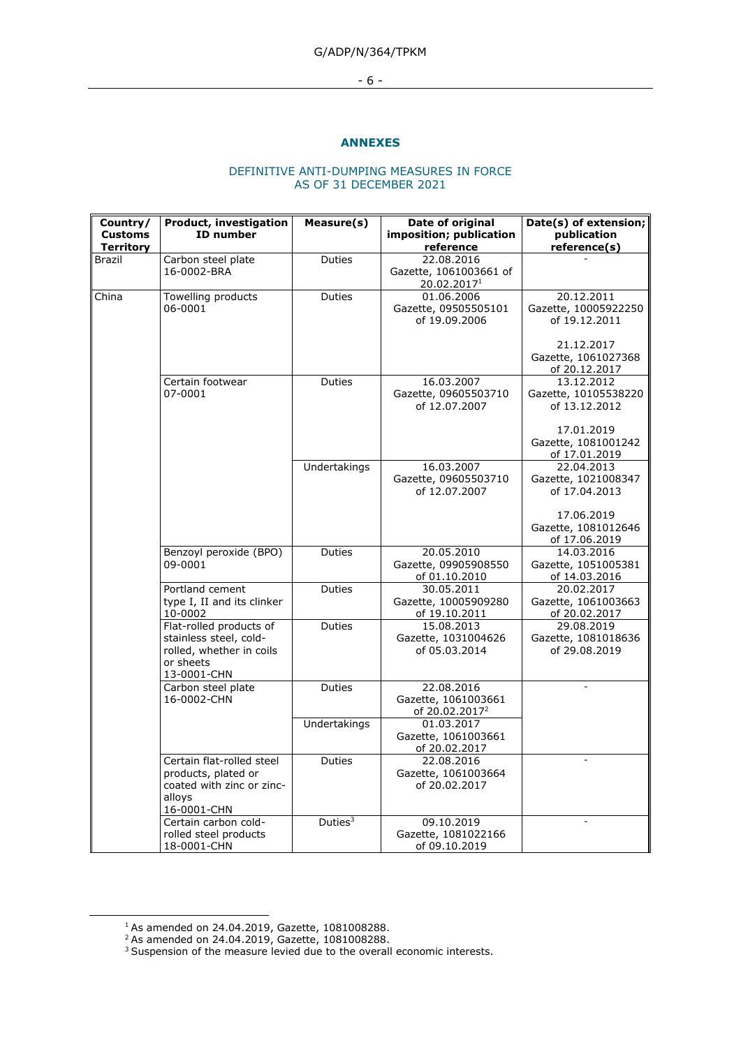- 6 -

## **ANNEXES**

## DEFINITIVE ANTI-DUMPING MEASURES IN FORCE AS OF 31 DECEMBER 2021

| Country/<br><b>Customs</b><br><b>Territory</b> | <b>Product, investigation</b><br><b>ID</b> number                                                         | Measure(s)    | Date of original<br>imposition; publication<br>reference        | Date(s) of extension;<br>publication<br>reference(s)                                     |
|------------------------------------------------|-----------------------------------------------------------------------------------------------------------|---------------|-----------------------------------------------------------------|------------------------------------------------------------------------------------------|
| Brazil                                         | Carbon steel plate<br>16-0002-BRA                                                                         | Duties        | 22.08.2016<br>Gazette, 1061003661 of<br>20.02.20171             |                                                                                          |
| China                                          | Towelling products<br>06-0001                                                                             | Duties        | 01.06.2006<br>Gazette, 09505505101<br>of 19.09.2006             | 20.12.2011<br>Gazette, 10005922250<br>of 19.12.2011<br>21.12.2017                        |
|                                                |                                                                                                           |               |                                                                 | Gazette, 1061027368<br>of 20.12.2017                                                     |
|                                                | Certain footwear<br>07-0001                                                                               | <b>Duties</b> | 16.03.2007<br>Gazette, 09605503710<br>of 12.07.2007             | 13.12.2012<br>Gazette, 10105538220<br>of 13.12.2012<br>17.01.2019<br>Gazette, 1081001242 |
|                                                |                                                                                                           |               |                                                                 | of 17.01.2019                                                                            |
|                                                |                                                                                                           | Undertakings  | 16.03.2007<br>Gazette, 09605503710<br>of 12.07.2007             | 22.04.2013<br>Gazette, 1021008347<br>of 17.04.2013                                       |
|                                                |                                                                                                           |               |                                                                 | 17.06.2019<br>Gazette, 1081012646<br>of 17.06.2019                                       |
|                                                | Benzoyl peroxide (BPO)<br>09-0001                                                                         | <b>Duties</b> | 20.05.2010<br>Gazette, 09905908550<br>of 01.10.2010             | 14.03.2016<br>Gazette, 1051005381<br>of 14.03.2016                                       |
|                                                | Portland cement<br>type I, II and its clinker<br>10-0002                                                  | <b>Duties</b> | 30.05.2011<br>Gazette, 10005909280<br>of 19.10.2011             | 20.02.2017<br>Gazette, 1061003663<br>of 20.02.2017                                       |
|                                                | Flat-rolled products of<br>stainless steel, cold-<br>rolled, whether in coils<br>or sheets<br>13-0001-CHN | Duties        | 15.08.2013<br>Gazette, 1031004626<br>of 05.03.2014              | 29.08.2019<br>Gazette, 1081018636<br>of 29.08.2019                                       |
|                                                | Carbon steel plate<br>16-0002-CHN                                                                         | Duties        | 22.08.2016<br>Gazette, 1061003661<br>of 20.02.2017 <sup>2</sup> |                                                                                          |
|                                                |                                                                                                           | Undertakings  | 01.03.2017<br>Gazette, 1061003661<br>of 20.02.2017              |                                                                                          |
|                                                | Certain flat-rolled steel<br>products, plated or<br>coated with zinc or zinc-<br>alloys<br>16-0001-CHN    | Duties        | 22.08.2016<br>Gazette, 1061003664<br>of 20.02.2017              | L.                                                                                       |
|                                                | Certain carbon cold-<br>rolled steel products<br>18-0001-CHN                                              | Duties $3$    | 09.10.2019<br>Gazette, 1081022166<br>of 09.10.2019              |                                                                                          |

 $1$  As amended on 24.04.2019, Gazette, 1081008288.

<sup>2</sup> As amended on 24.04.2019, Gazette, 1081008288.

<sup>&</sup>lt;sup>3</sup> Suspension of the measure levied due to the overall economic interests.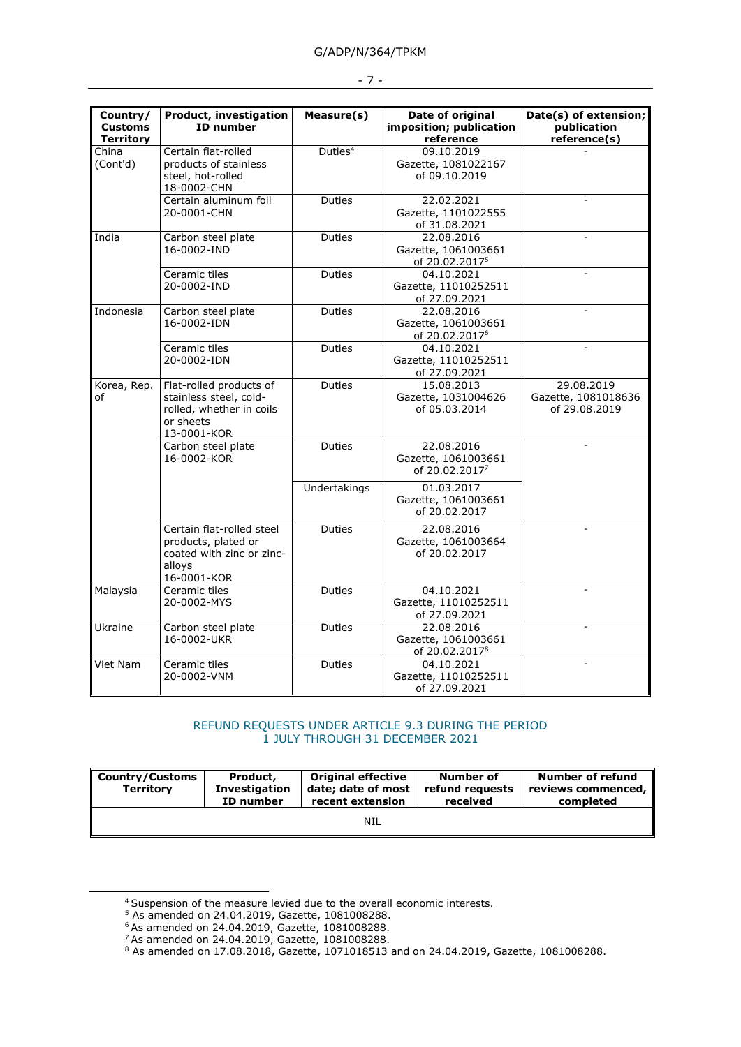| Country/<br><b>Customs</b><br><b>Territory</b> | Product, investigation<br><b>ID</b> number                                                                | Measure(s)          | Date of original<br>imposition; publication<br>reference        | Date(s) of extension;<br>publication<br>reference(s) |
|------------------------------------------------|-----------------------------------------------------------------------------------------------------------|---------------------|-----------------------------------------------------------------|------------------------------------------------------|
| $\overline{China}$<br>(Cont'd)                 | Certain flat-rolled<br>products of stainless<br>steel, hot-rolled<br>18-0002-CHN                          | Duties <sup>4</sup> | 09.10.2019<br>Gazette, 1081022167<br>of 09.10.2019              |                                                      |
|                                                | Certain aluminum foil<br>20-0001-CHN                                                                      | <b>Duties</b>       | 22.02.2021<br>Gazette, 1101022555<br>of 31.08.2021              |                                                      |
| India                                          | Carbon steel plate<br>16-0002-IND                                                                         | <b>Duties</b>       | 22.08.2016<br>Gazette, 1061003661<br>of 20.02.2017 <sup>5</sup> |                                                      |
|                                                | Ceramic tiles<br>20-0002-IND                                                                              | Duties              | 04.10.2021<br>Gazette, 11010252511<br>of 27.09.2021             |                                                      |
| Indonesia                                      | Carbon steel plate<br>16-0002-IDN                                                                         | Duties              | 22.08.2016<br>Gazette, 1061003661<br>of 20.02.2017 <sup>6</sup> |                                                      |
|                                                | Ceramic tiles<br>20-0002-IDN                                                                              | Duties              | 04.10.2021<br>Gazette, 11010252511<br>of 27.09.2021             |                                                      |
| Korea, Rep.<br>οf                              | Flat-rolled products of<br>stainless steel, cold-<br>rolled, whether in coils<br>or sheets<br>13-0001-KOR | <b>Duties</b>       | 15.08.2013<br>Gazette, 1031004626<br>of 05.03.2014              | 29.08.2019<br>Gazette, 1081018636<br>of 29.08.2019   |
|                                                | Carbon steel plate<br>16-0002-KOR                                                                         | <b>Duties</b>       | 22.08.2016<br>Gazette, 1061003661<br>of 20.02.20177             |                                                      |
|                                                |                                                                                                           | Undertakings        | 01.03.2017<br>Gazette, 1061003661<br>of 20.02.2017              |                                                      |
|                                                | Certain flat-rolled steel<br>products, plated or<br>coated with zinc or zinc-<br>alloys<br>16-0001-KOR    | Duties              | 22.08.2016<br>Gazette, 1061003664<br>of 20.02.2017              |                                                      |
| Malaysia                                       | Ceramic tiles<br>20-0002-MYS                                                                              | <b>Duties</b>       | 04.10.2021<br>Gazette, 11010252511<br>of 27.09.2021             |                                                      |
| Ukraine                                        | Carbon steel plate<br>16-0002-UKR                                                                         | Duties              | 22.08.2016<br>Gazette, 1061003661<br>of 20.02.2017 <sup>8</sup> |                                                      |
| Viet Nam                                       | Ceramic tiles<br>20-0002-VNM                                                                              | <b>Duties</b>       | 04.10.2021<br>Gazette, 11010252511<br>of 27.09.2021             |                                                      |

#### - 7 -

### REFUND REQUESTS UNDER ARTICLE 9.3 DURING THE PERIOD 1 JULY THROUGH 31 DECEMBER 2021

| <b>Country/Customs</b><br><b>Territory</b> | Product,<br><b>Investigation</b><br>ID number | <b>Original effective</b><br>date; date of most<br>recent extension | Number of<br>refund requests<br>received | Number of refund<br>reviews commenced,<br>completed |  |
|--------------------------------------------|-----------------------------------------------|---------------------------------------------------------------------|------------------------------------------|-----------------------------------------------------|--|
|                                            |                                               | <b>NIL</b>                                                          |                                          |                                                     |  |

<sup>4</sup> Suspension of the measure levied due to the overall economic interests.

<sup>5</sup> As amended on 24.04.2019, Gazette, 1081008288.

<sup>6</sup> As amended on 24.04.2019, Gazette, 1081008288.

<sup>7</sup> As amended on 24.04.2019, Gazette, 1081008288.

 $8$  As amended on 17.08.2018, Gazette, 1071018513 and on 24.04.2019, Gazette, 1081008288.